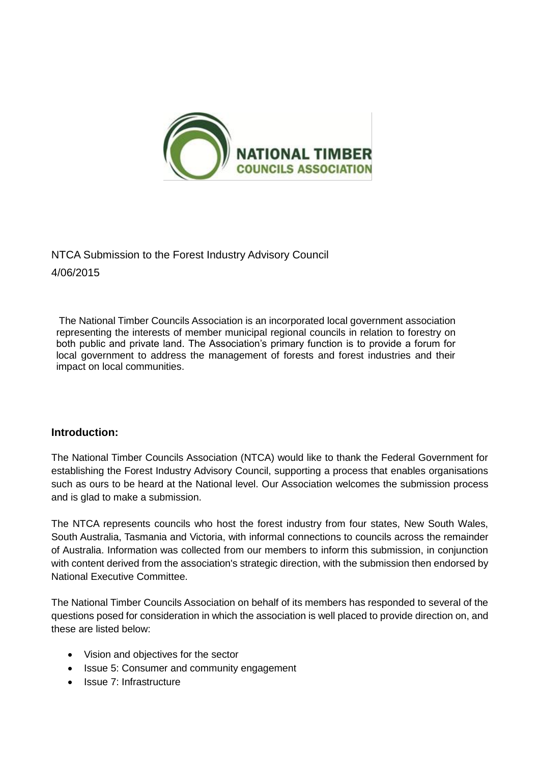

# NTCA Submission to the Forest Industry Advisory Council 4/06/2015

The National Timber Councils Association is an incorporated local government association representing the interests of member municipal regional councils in relation to forestry on both public and private land. The Association's primary function is to provide a forum for local government to address the management of forests and forest industries and their impact on local communities.

## **Introduction:**

The National Timber Councils Association (NTCA) would like to thank the Federal Government for establishing the Forest Industry Advisory Council, supporting a process that enables organisations such as ours to be heard at the National level. Our Association welcomes the submission process and is glad to make a submission.

The NTCA represents councils who host the forest industry from four states, New South Wales, South Australia, Tasmania and Victoria, with informal connections to councils across the remainder of Australia. Information was collected from our members to inform this submission, in conjunction with content derived from the association's strategic direction, with the submission then endorsed by National Executive Committee.

The National Timber Councils Association on behalf of its members has responded to several of the questions posed for consideration in which the association is well placed to provide direction on, and these are listed below:

- Vision and objectives for the sector
- Issue 5: Consumer and community engagement
- $\bullet$  Issue 7: Infrastructure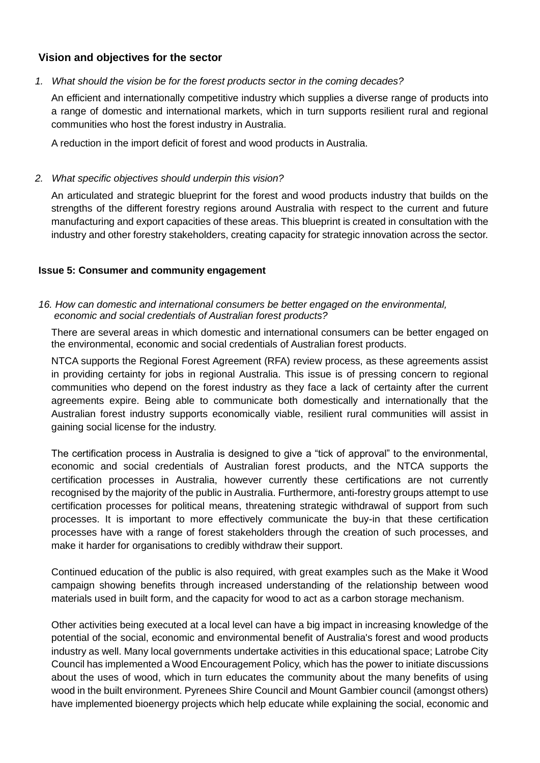# **Vision and objectives for the sector**

#### *1. What should the vision be for the forest products sector in the coming decades?*

An efficient and internationally competitive industry which supplies a diverse range of products into a range of domestic and international markets, which in turn supports resilient rural and regional communities who host the forest industry in Australia.

A reduction in the import deficit of forest and wood products in Australia.

#### *2. What specific objectives should underpin this vision?*

An articulated and strategic blueprint for the forest and wood products industry that builds on the strengths of the different forestry regions around Australia with respect to the current and future manufacturing and export capacities of these areas. This blueprint is created in consultation with the industry and other forestry stakeholders, creating capacity for strategic innovation across the sector.

#### **Issue 5: Consumer and community engagement**

#### *16. How can domestic and international consumers be better engaged on the environmental, economic and social credentials of Australian forest products?*

There are several areas in which domestic and international consumers can be better engaged on the environmental, economic and social credentials of Australian forest products.

NTCA supports the Regional Forest Agreement (RFA) review process, as these agreements assist in providing certainty for jobs in regional Australia. This issue is of pressing concern to regional communities who depend on the forest industry as they face a lack of certainty after the current agreements expire. Being able to communicate both domestically and internationally that the Australian forest industry supports economically viable, resilient rural communities will assist in gaining social license for the industry.

The certification process in Australia is designed to give a "tick of approval" to the environmental, economic and social credentials of Australian forest products, and the NTCA supports the certification processes in Australia, however currently these certifications are not currently recognised by the majority of the public in Australia. Furthermore, anti-forestry groups attempt to use certification processes for political means, threatening strategic withdrawal of support from such processes. It is important to more effectively communicate the buy-in that these certification processes have with a range of forest stakeholders through the creation of such processes, and make it harder for organisations to credibly withdraw their support.

Continued education of the public is also required, with great examples such as the Make it Wood campaign showing benefits through increased understanding of the relationship between wood materials used in built form, and the capacity for wood to act as a carbon storage mechanism.

Other activities being executed at a local level can have a big impact in increasing knowledge of the potential of the social, economic and environmental benefit of Australia's forest and wood products industry as well. Many local governments undertake activities in this educational space; Latrobe City Council has implemented a Wood Encouragement Policy, which has the power to initiate discussions about the uses of wood, which in turn educates the community about the many benefits of using wood in the built environment. Pyrenees Shire Council and Mount Gambier council (amongst others) have implemented bioenergy projects which help educate while explaining the social, economic and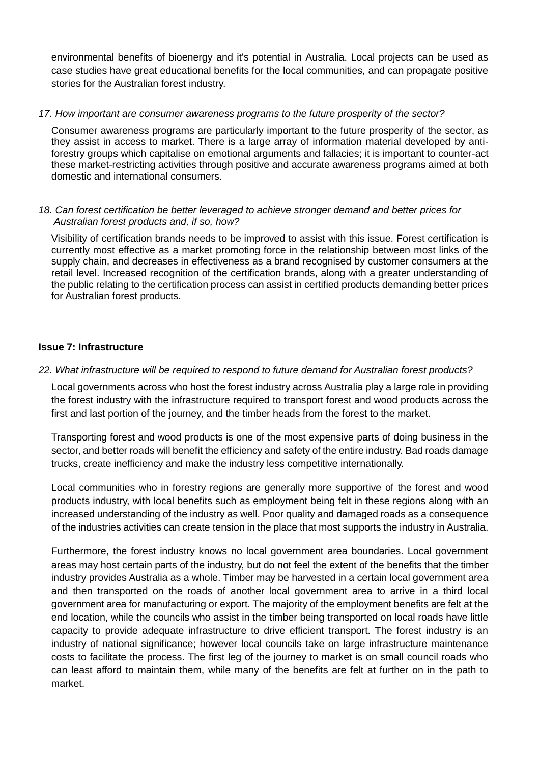environmental benefits of bioenergy and it's potential in Australia. Local projects can be used as case studies have great educational benefits for the local communities, and can propagate positive stories for the Australian forest industry.

#### *17. How important are consumer awareness programs to the future prosperity of the sector?*

Consumer awareness programs are particularly important to the future prosperity of the sector, as they assist in access to market. There is a large array of information material developed by antiforestry groups which capitalise on emotional arguments and fallacies; it is important to counter-act these market-restricting activities through positive and accurate awareness programs aimed at both domestic and international consumers.

#### *18. Can forest certification be better leveraged to achieve stronger demand and better prices for Australian forest products and, if so, how?*

Visibility of certification brands needs to be improved to assist with this issue. Forest certification is currently most effective as a market promoting force in the relationship between most links of the supply chain, and decreases in effectiveness as a brand recognised by customer consumers at the retail level. Increased recognition of the certification brands, along with a greater understanding of the public relating to the certification process can assist in certified products demanding better prices for Australian forest products.

#### **Issue 7: Infrastructure**

## *22. What infrastructure will be required to respond to future demand for Australian forest products?*

Local governments across who host the forest industry across Australia play a large role in providing the forest industry with the infrastructure required to transport forest and wood products across the first and last portion of the journey, and the timber heads from the forest to the market.

Transporting forest and wood products is one of the most expensive parts of doing business in the sector, and better roads will benefit the efficiency and safety of the entire industry. Bad roads damage trucks, create inefficiency and make the industry less competitive internationally.

Local communities who in forestry regions are generally more supportive of the forest and wood products industry, with local benefits such as employment being felt in these regions along with an increased understanding of the industry as well. Poor quality and damaged roads as a consequence of the industries activities can create tension in the place that most supports the industry in Australia.

Furthermore, the forest industry knows no local government area boundaries. Local government areas may host certain parts of the industry, but do not feel the extent of the benefits that the timber industry provides Australia as a whole. Timber may be harvested in a certain local government area and then transported on the roads of another local government area to arrive in a third local government area for manufacturing or export. The majority of the employment benefits are felt at the end location, while the councils who assist in the timber being transported on local roads have little capacity to provide adequate infrastructure to drive efficient transport. The forest industry is an industry of national significance; however local councils take on large infrastructure maintenance costs to facilitate the process. The first leg of the journey to market is on small council roads who can least afford to maintain them, while many of the benefits are felt at further on in the path to market.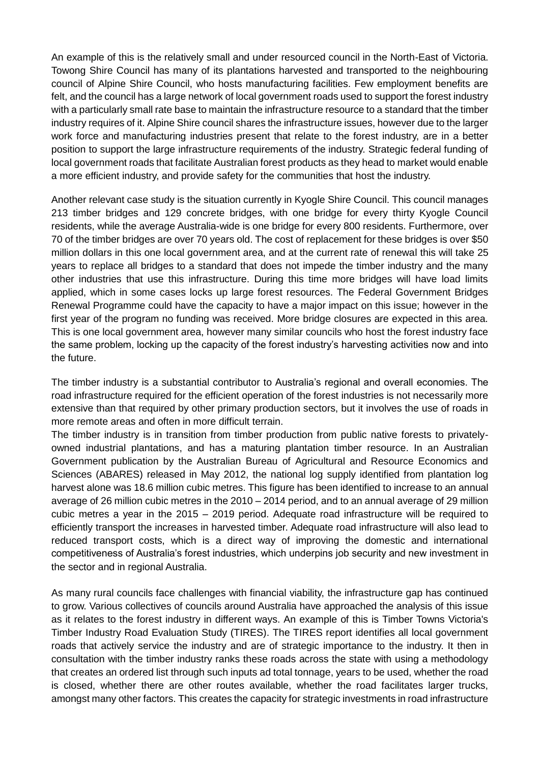An example of this is the relatively small and under resourced council in the North-East of Victoria. Towong Shire Council has many of its plantations harvested and transported to the neighbouring council of Alpine Shire Council, who hosts manufacturing facilities. Few employment benefits are felt, and the council has a large network of local government roads used to support the forest industry with a particularly small rate base to maintain the infrastructure resource to a standard that the timber industry requires of it. Alpine Shire council shares the infrastructure issues, however due to the larger work force and manufacturing industries present that relate to the forest industry, are in a better position to support the large infrastructure requirements of the industry. Strategic federal funding of local government roads that facilitate Australian forest products as they head to market would enable a more efficient industry, and provide safety for the communities that host the industry.

Another relevant case study is the situation currently in Kyogle Shire Council. This council manages 213 timber bridges and 129 concrete bridges, with one bridge for every thirty Kyogle Council residents, while the average Australia-wide is one bridge for every 800 residents. Furthermore, over 70 of the timber bridges are over 70 years old. The cost of replacement for these bridges is over \$50 million dollars in this one local government area, and at the current rate of renewal this will take 25 years to replace all bridges to a standard that does not impede the timber industry and the many other industries that use this infrastructure. During this time more bridges will have load limits applied, which in some cases locks up large forest resources. The Federal Government Bridges Renewal Programme could have the capacity to have a major impact on this issue; however in the first year of the program no funding was received. More bridge closures are expected in this area. This is one local government area, however many similar councils who host the forest industry face the same problem, locking up the capacity of the forest industry's harvesting activities now and into the future.

The timber industry is a substantial contributor to Australia's regional and overall economies. The road infrastructure required for the efficient operation of the forest industries is not necessarily more extensive than that required by other primary production sectors, but it involves the use of roads in more remote areas and often in more difficult terrain.

The timber industry is in transition from timber production from public native forests to privatelyowned industrial plantations, and has a maturing plantation timber resource. In an Australian Government publication by the Australian Bureau of Agricultural and Resource Economics and Sciences (ABARES) released in May 2012, the national log supply identified from plantation log harvest alone was 18.6 million cubic metres. This figure has been identified to increase to an annual average of 26 million cubic metres in the 2010 – 2014 period, and to an annual average of 29 million cubic metres a year in the 2015 – 2019 period. Adequate road infrastructure will be required to efficiently transport the increases in harvested timber. Adequate road infrastructure will also lead to reduced transport costs, which is a direct way of improving the domestic and international competitiveness of Australia's forest industries, which underpins job security and new investment in the sector and in regional Australia.

As many rural councils face challenges with financial viability, the infrastructure gap has continued to grow. Various collectives of councils around Australia have approached the analysis of this issue as it relates to the forest industry in different ways. An example of this is Timber Towns Victoria's Timber Industry Road Evaluation Study (TIRES). The TIRES report identifies all local government roads that actively service the industry and are of strategic importance to the industry. It then in consultation with the timber industry ranks these roads across the state with using a methodology that creates an ordered list through such inputs ad total tonnage, years to be used, whether the road is closed, whether there are other routes available, whether the road facilitates larger trucks, amongst many other factors. This creates the capacity for strategic investments in road infrastructure